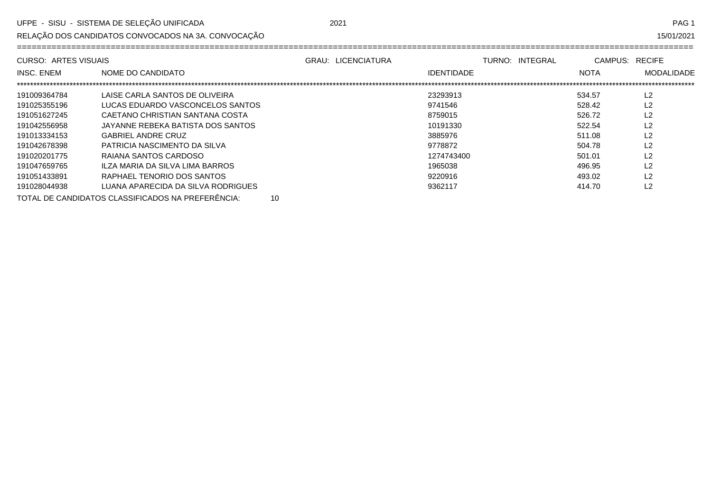RELAÇÃO DOS CANDIDATOS CONVOCADOS NA 3A. CONVOCAÇÃO

| CURSO: ARTES VISUAIS |                                    | <b>GRAU: LICENCIATURA</b> | TURNO: INTEGRAL   | CAMPUS: RECIFE |                   |
|----------------------|------------------------------------|---------------------------|-------------------|----------------|-------------------|
| <b>INSC. ENEM</b>    | NOME DO CANDIDATO                  |                           | <b>IDENTIDADE</b> | <b>NOTA</b>    | <b>MODALIDADE</b> |
|                      |                                    |                           |                   |                |                   |
| 191009364784         | LAISE CARLA SANTOS DE OLIVEIRA     |                           | 23293913          | 534.57         | L <sub>2</sub>    |
| 191025355196         | LUCAS EDUARDO VASCONCELOS SANTOS   |                           | 9741546           | 528.42         | L <sub>2</sub>    |
| 191051627245         | CAFTANO CHRISTIAN SANTANA COSTA    |                           | 8759015           | 526.72         | L2                |
| 191042556958         | JAYANNE REBEKA BATISTA DOS SANTOS  |                           | 10191330          | 522.54         | L2                |
| 191013334153         | <b>GABRIEL ANDRE CRUZ</b>          |                           | 3885976           | 511.08         | L2                |
| 191042678398         | PATRICIA NASCIMENTO DA SILVA       |                           | 9778872           | 504.78         | L2                |
| 191020201775         | RAIANA SANTOS CARDOSO              |                           | 1274743400        | 501.01         | L2                |
| 191047659765         | ILZA MARIA DA SILVA LIMA BARROS    |                           | 1965038           | 496.95         | L2                |
| 191051433891         | RAPHAEL TENORIO DOS SANTOS         |                           | 9220916           | 493.02         | L2                |
| 191028044938         | LUANA APARECIDA DA SILVA RODRIGUES |                           | 9362117           | 414.70         | L2                |
|                      |                                    |                           |                   |                |                   |

TOTAL DE CANDIDATOS CLASSIFICADOS NA PREFERÊNCIA:  $10$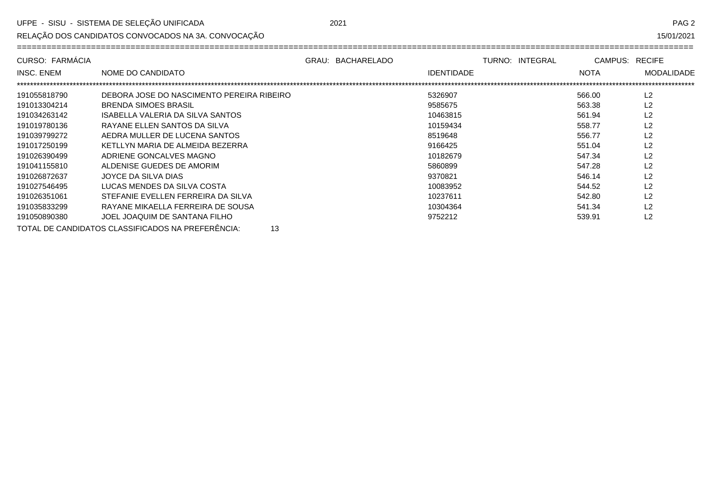RELAÇÃO DOS CANDIDATOS CONVOCADOS NA 3A. CONVOCAÇÃO

15/01/2021

| CURSO: FARMÁCIA   |                                                         | GRAU: BACHARELADO |                   | TURNO: INTEGRAL | CAMPUS: RECIFE |                   |
|-------------------|---------------------------------------------------------|-------------------|-------------------|-----------------|----------------|-------------------|
| <b>INSC. ENEM</b> | NOME DO CANDIDATO                                       |                   | <b>IDENTIDADE</b> |                 | <b>NOTA</b>    | <b>MODALIDADE</b> |
|                   |                                                         |                   |                   |                 |                |                   |
| 191055818790      | DEBORA JOSE DO NASCIMENTO PEREIRA RIBEIRO               |                   | 5326907           |                 | 566.00         | L <sub>2</sub>    |
| 191013304214      | <b>BRENDA SIMOES BRASIL</b>                             |                   | 9585675           |                 | 563.38         | L <sub>2</sub>    |
| 191034263142      | ISABELLA VALERIA DA SILVA SANTOS                        |                   | 10463815          |                 | 561.94         | L <sub>2</sub>    |
| 191019780136      | RAYANE ELLEN SANTOS DA SILVA                            |                   | 10159434          |                 | 558.77         | L2                |
| 191039799272      | AEDRA MULLER DE LUCENA SANTOS                           |                   | 8519648           |                 | 556.77         | L2                |
| 191017250199      | KETLLYN MARIA DE ALMEIDA BEZERRA                        |                   | 9166425           |                 | 551.04         | L2                |
| 191026390499      | ADRIENE GONCALVES MAGNO                                 |                   | 10182679          |                 | 547.34         | L <sub>2</sub>    |
| 191041155810      | ALDENISE GUEDES DE AMORIM                               |                   | 5860899           |                 | 547.28         | L <sub>2</sub>    |
| 191026872637      | JOYCE DA SILVA DIAS                                     |                   | 9370821           |                 | 546.14         | L <sub>2</sub>    |
| 191027546495      | LUCAS MENDES DA SILVA COSTA                             |                   | 10083952          |                 | 544.52         | L <sub>2</sub>    |
| 191026351061      | STEFANIE EVELLEN FERREIRA DA SILVA                      |                   | 10237611          |                 | 542.80         | L <sub>2</sub>    |
| 191035833299      | RAYANE MIKAELLA FERREIRA DE SOUSA                       |                   | 10304364          |                 | 541.34         | L2                |
| 191050890380      | JOEL JOAQUIM DE SANTANA FILHO                           |                   | 9752212           |                 | 539.91         | L2                |
|                   | TOTAL DE CANDIDATOS CLASSIFICADOS NA PREFERÊNCIA:<br>13 |                   |                   |                 |                |                   |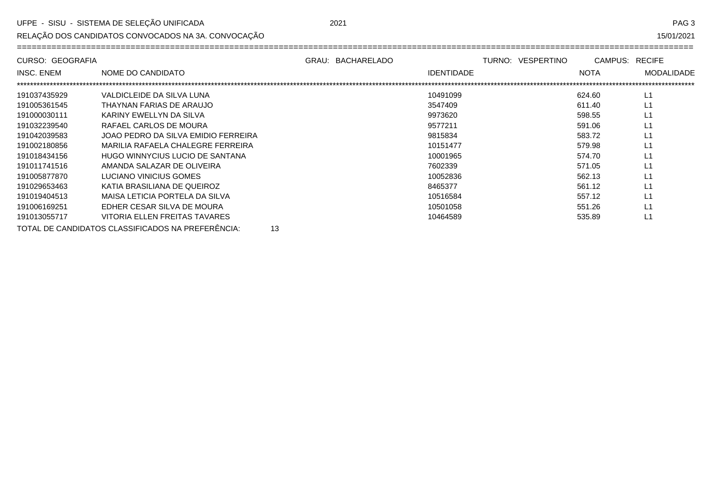RELAÇÃO DOS CANDIDATOS CONVOCADOS NA 3A. CONVOCAÇÃO

15/01/2021

| CURSO: GEOGRAFIA |                                     | GRAU: BACHARELADO |                   | TURNO: VESPERTINO | CAMPUS: RECIFE |                   |
|------------------|-------------------------------------|-------------------|-------------------|-------------------|----------------|-------------------|
| INSC. ENEM       | NOME DO CANDIDATO                   |                   | <b>IDENTIDADE</b> |                   | <b>NOTA</b>    | <b>MODALIDADE</b> |
| 191037435929     | VALDICLEIDE DA SILVA LUNA           |                   | 10491099          |                   | 624.60         | L1                |
| 191005361545     | THAYNAN FARIAS DE ARAUJO            |                   | 3547409           |                   | 611.40         | L1                |
| 191000030111     | KARINY EWELLYN DA SILVA             |                   | 9973620           |                   | 598.55         | L1                |
| 191032239540     | RAFAEL CARLOS DE MOURA              |                   | 9577211           |                   | 591.06         | L1                |
| 191042039583     | JOAO PEDRO DA SILVA EMIDIO FERREIRA |                   | 9815834           |                   | 583.72         | L1                |
| 191002180856     | MARILIA RAFAELA CHALEGRE FERREIRA   |                   | 10151477          |                   | 579.98         | L1                |
| 191018434156     | HUGO WINNYCIUS LUCIO DE SANTANA     |                   | 10001965          |                   | 574.70         | L1                |
| 191011741516     | AMANDA SALAZAR DE OLIVEIRA          |                   | 7602339           |                   | 571.05         | L1                |
| 191005877870     | LUCIANO VINICIUS GOMES              |                   | 10052836          |                   | 562.13         | L1                |
| 191029653463     | KATIA BRASILIANA DE QUEIROZ         |                   | 8465377           |                   | 561.12         | L1                |
| 191019404513     | MAISA LETICIA PORTELA DA SILVA      |                   | 10516584          |                   | 557.12         |                   |
| 191006169251     | EDHER CESAR SILVA DE MOURA          |                   | 10501058          |                   | 551.26         | L1                |
| 191013055717     | VITORIA ELLEN FREITAS TAVARES       |                   | 10464589          |                   | 535.89         | L1                |
|                  |                                     |                   |                   |                   |                |                   |

TOTAL DE CANDIDATOS CLASSIFICADOS NA PREFERÊNCIA: 13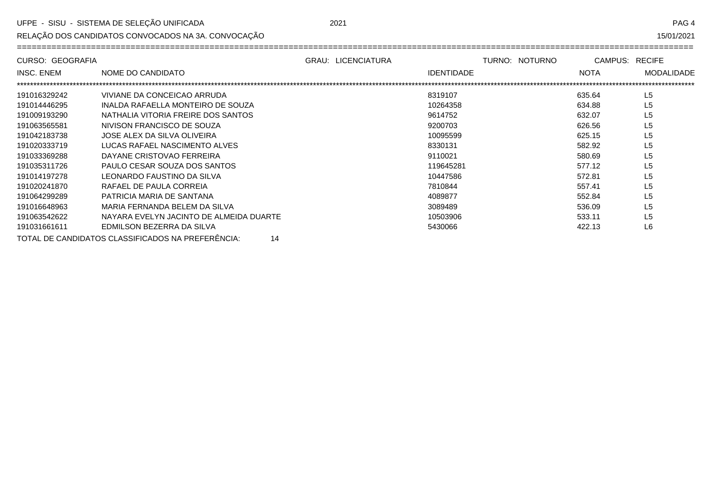RELAÇÃO DOS CANDIDATOS CONVOCADOS NA 3A. CONVOCAÇÃO

| CURSO: GEOGRAFIA  |                                         | <b>GRAU: LICENCIATURA</b> |                   | TURNO: NOTURNO | CAMPUS:     | <b>RECIFE</b>     |
|-------------------|-----------------------------------------|---------------------------|-------------------|----------------|-------------|-------------------|
| <b>INSC. ENEM</b> | NOME DO CANDIDATO                       |                           | <b>IDENTIDADE</b> |                | <b>NOTA</b> | <b>MODALIDADE</b> |
|                   |                                         |                           |                   |                |             |                   |
| 191016329242      | VIVIANE DA CONCEICAO ARRUDA             |                           | 8319107           |                | 635.64      | L5                |
| 191014446295      | INALDA RAFAELLA MONTEIRO DE SOUZA       |                           | 10264358          |                | 634.88      | L5                |
| 191009193290      | NATHALIA VITORIA FREIRE DOS SANTOS      |                           | 9614752           |                | 632.07      | L5                |
| 191063565581      | NIVISON FRANCISCO DE SOUZA              |                           | 9200703           |                | 626.56      | L5                |
| 191042183738      | JOSE ALEX DA SILVA OLIVEIRA             |                           | 10095599          |                | 625.15      | L5                |
| 191020333719      | LUCAS RAFAEL NASCIMENTO ALVES           |                           | 8330131           |                | 582.92      | L5                |
| 191033369288      | DAYANE CRISTOVAO FERREIRA               |                           | 9110021           |                | 580.69      | L5                |
| 191035311726      | PAULO CESAR SOUZA DOS SANTOS            |                           | 119645281         |                | 577.12      | L5                |
| 191014197278      | LEONARDO FAUSTINO DA SILVA              |                           | 10447586          |                | 572.81      | L5                |
| 191020241870      | RAFAEL DE PAULA CORREIA                 |                           | 7810844           |                | 557.41      | L5                |
| 191064299289      | PATRICIA MARIA DE SANTANA               |                           | 4089877           |                | 552.84      | L5                |
| 191016648963      | MARIA FERNANDA BELEM DA SILVA           |                           | 3089489           |                | 536.09      | L5                |
| 191063542622      | NAYARA EVELYN JACINTO DE ALMEIDA DUARTE |                           | 10503906          |                | 533.11      | L <sub>5</sub>    |
| 191031661611      | EDMILSON BEZERRA DA SILVA               |                           | 5430066           |                | 422.13      | L6                |
|                   |                                         |                           |                   |                |             |                   |

TOTAL DE CANDIDATOS CLASSIFICADOS NA PREFERÊNCIA: 14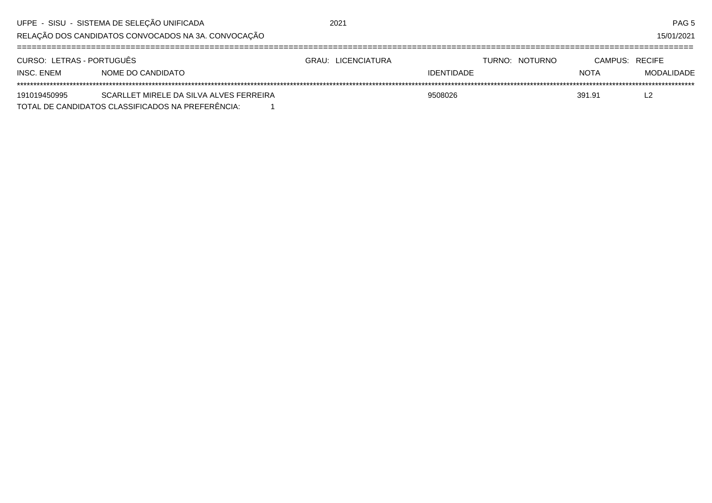|                                                     | UFPE - SISU - SISTEMA DE SELEÇÃO UNIFICADA        |  | 2021               |                   |  |                |                | PAG <sub>5</sub> |
|-----------------------------------------------------|---------------------------------------------------|--|--------------------|-------------------|--|----------------|----------------|------------------|
| RELAÇÃO DOS CANDIDATOS CONVOCADOS NA 3A. CONVOCAÇÃO |                                                   |  |                    |                   |  |                |                | 15/01/2021       |
| CURSO: LETRAS - PORTUGUÊS                           |                                                   |  | GRAU: LICENCIATURA |                   |  | TURNO: NOTURNO | CAMPUS: RECIFE |                  |
| INSC. ENEM                                          | NOME DO CANDIDATO                                 |  |                    | <b>IDENTIDADE</b> |  |                | <b>NOTA</b>    | MODALIDADE       |
|                                                     |                                                   |  |                    |                   |  |                |                |                  |
| 191019450995                                        | SCARLLET MIRELE DA SILVA ALVES FERREIRA           |  |                    | 9508026           |  |                | 391.91         | L2               |
|                                                     | TOTAL DE CANDIDATOS CLASSIFICADOS NA PREFERÊNCIA: |  |                    |                   |  |                |                |                  |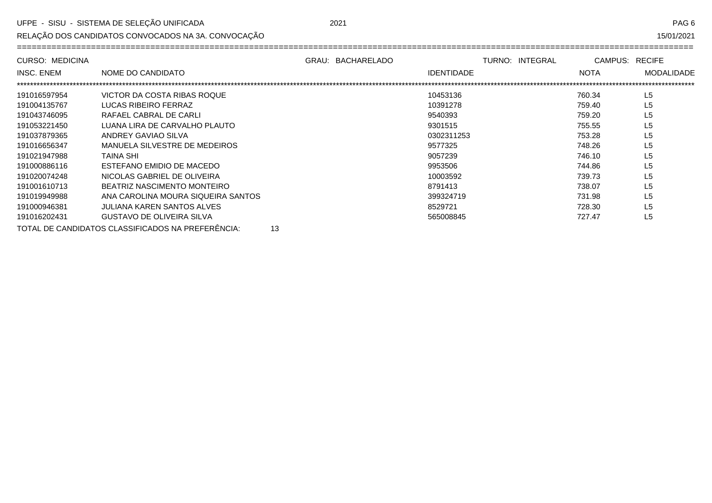RELAÇÃO DOS CANDIDATOS CONVOCADOS NA 3A. CONVOCAÇÃO

| יטA | n |
|-----|---|
|     |   |

| <b>CURSO: MEDICINA</b> |                                    | GRAU: BACHARELADO | TURNO: INTEGRAL | CAMPUS: RECIFE |                   |
|------------------------|------------------------------------|-------------------|-----------------|----------------|-------------------|
| <b>INSC. ENEM</b>      | NOME DO CANDIDATO                  | <b>IDENTIDADE</b> |                 | <b>NOTA</b>    | <b>MODALIDADE</b> |
| 191016597954           | VICTOR DA COSTA RIBAS ROQUE        | 10453136          |                 | 760.34         | L <sub>5</sub>    |
| 191004135767           | LUCAS RIBEIRO FERRAZ               | 10391278          |                 | 759.40         | L5                |
| 191043746095           | RAFAEL CABRAL DE CARLI             | 9540393           |                 | 759.20         | L <sub>5</sub>    |
| 191053221450           | LUANA LIRA DE CARVALHO PLAUTO      | 9301515           |                 | 755.55         | L <sub>5</sub>    |
| 191037879365           | ANDREY GAVIAO SILVA                | 0302311253        |                 | 753.28         | L <sub>5</sub>    |
| 191016656347           | MANUELA SILVESTRE DE MEDEIROS      | 9577325           |                 | 748.26         | L <sub>5</sub>    |
| 191021947988           | <b>TAINA SHI</b>                   | 9057239           |                 | 746.10         | L5                |
| 191000886116           | ESTEFANO EMIDIO DE MACEDO          | 9953506           |                 | 744.86         | L <sub>5</sub>    |
| 191020074248           | NICOLAS GABRIEL DE OLIVEIRA        | 10003592          |                 | 739.73         | L <sub>5</sub>    |
| 191001610713           | BEATRIZ NASCIMENTO MONTEIRO        | 8791413           |                 | 738.07         | L <sub>5</sub>    |
| 191019949988           | ANA CAROLINA MOURA SIQUEIRA SANTOS | 399324719         |                 | 731.98         | L <sub>5</sub>    |
| 191000946381           | JULIANA KAREN SANTOS ALVES         | 8529721           |                 | 728.30         | L <sub>5</sub>    |
| 191016202431           | <b>GUSTAVO DE OLIVEIRA SILVA</b>   | 565008845         |                 | 727.47         | L <sub>5</sub>    |

TOTAL DE CANDIDATOS CLASSIFICADOS NA PREFERÊNCIA: 13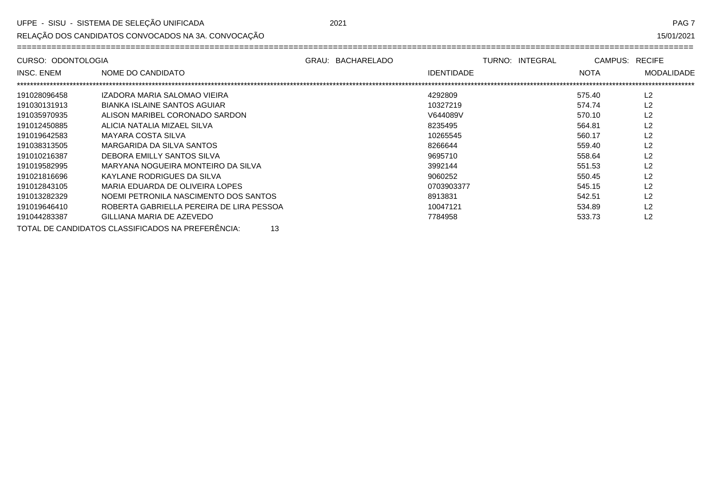RELAÇÃO DOS CANDIDATOS CONVOCADOS NA 3A. CONVOCAÇÃO

15/01/2021

| CURSO: ODONTOLOGIA |                                                         | GRAU: BACHARELADO |                   | TURNO: INTEGRAL | CAMPUS:     | <b>RECIFE</b>     |
|--------------------|---------------------------------------------------------|-------------------|-------------------|-----------------|-------------|-------------------|
| <b>INSC. ENEM</b>  | NOME DO CANDIDATO                                       |                   | <b>IDENTIDADE</b> |                 | <b>NOTA</b> | <b>MODALIDADE</b> |
|                    |                                                         |                   |                   |                 |             |                   |
| 191028096458       | IZADORA MARIA SALOMAO VIEIRA                            |                   | 4292809           |                 | 575.40      | L2                |
| 191030131913       | BIANKA ISLAINE SANTOS AGUIAR                            |                   | 10327219          |                 | 574.74      | L <sub>2</sub>    |
| 191035970935       | ALISON MARIBEL CORONADO SARDON                          |                   | V644089V          |                 | 570.10      | L <sub>2</sub>    |
| 191012450885       | ALICIA NATALIA MIZAEL SILVA                             |                   | 8235495           |                 | 564.81      | L <sub>2</sub>    |
| 191019642583       | MAYARA COSTA SILVA                                      |                   | 10265545          |                 | 560.17      | L <sub>2</sub>    |
| 191038313505       | MARGARIDA DA SILVA SANTOS                               |                   | 8266644           |                 | 559.40      | L <sub>2</sub>    |
| 191010216387       | DEBORA EMILLY SANTOS SILVA                              |                   | 9695710           |                 | 558.64      | L <sub>2</sub>    |
| 191019582995       | MARYANA NOGUEIRA MONTEIRO DA SILVA                      |                   | 3992144           |                 | 551.53      | L <sub>2</sub>    |
| 191021816696       | KAYLANE RODRIGUES DA SILVA                              |                   | 9060252           |                 | 550.45      | L <sub>2</sub>    |
| 191012843105       | MARIA EDUARDA DE OLIVEIRA LOPES                         |                   | 0703903377        |                 | 545.15      | L <sub>2</sub>    |
| 191013282329       | NOEMI PETRONILA NASCIMENTO DOS SANTOS                   |                   | 8913831           |                 | 542.51      | L <sub>2</sub>    |
| 191019646410       | ROBERTA GABRIELLA PEREIRA DE LIRA PESSOA                |                   | 10047121          |                 | 534.89      | L <sub>2</sub>    |
| 191044283387       | GILLIANA MARIA DE AZEVEDO                               |                   | 7784958           |                 | 533.73      | L <sub>2</sub>    |
|                    | TOTAL DE CANDIDATOS CLASSIFICADOS NA PREFERÊNCIA:<br>13 |                   |                   |                 |             |                   |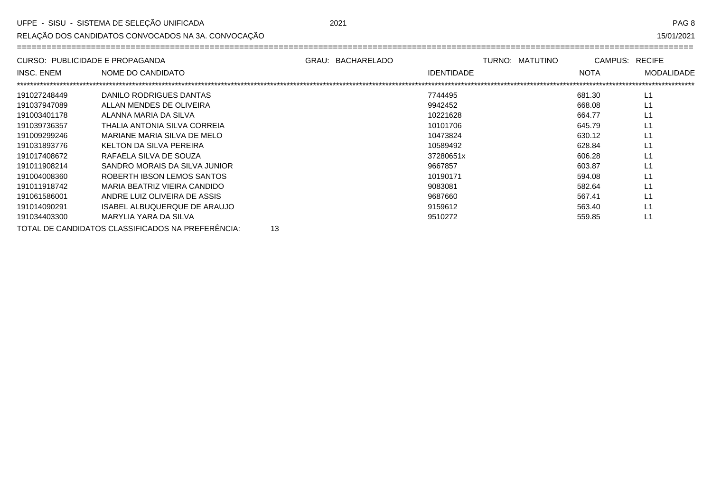RELAÇÃO DOS CANDIDATOS CONVOCADOS NA 3A. CONVOCAÇÃO

15/01/2021

| CURSO: PUBLICIDADE E PROPAGANDA |                                                         | GRAU: BACHARELADO |                   | TURNO: MATUTINO | CAMPUS:     | <b>RECIFE</b>     |
|---------------------------------|---------------------------------------------------------|-------------------|-------------------|-----------------|-------------|-------------------|
| <b>INSC. ENEM</b>               | NOME DO CANDIDATO                                       |                   | <b>IDENTIDADE</b> |                 | <b>NOTA</b> | <b>MODALIDADE</b> |
|                                 |                                                         |                   |                   |                 |             |                   |
| 191027248449                    | DANILO RODRIGUES DANTAS                                 |                   | 7744495           |                 | 681.30      | L1                |
| 191037947089                    | ALLAN MENDES DE OLIVEIRA                                |                   | 9942452           |                 | 668.08      | L1                |
| 191003401178                    | ALANNA MARIA DA SILVA                                   |                   | 10221628          |                 | 664.77      | L1                |
| 191039736357                    | THALIA ANTONIA SILVA CORREIA                            |                   | 10101706          |                 | 645.79      | L1                |
| 191009299246                    | MARIANE MARIA SILVA DE MELO                             |                   | 10473824          |                 | 630.12      | L1                |
| 191031893776                    | KELTON DA SILVA PEREIRA                                 |                   | 10589492          |                 | 628.84      | L1                |
| 191017408672                    | RAFAELA SILVA DE SOUZA                                  |                   | 37280651x         |                 | 606.28      | L1                |
| 191011908214                    | SANDRO MORAIS DA SILVA JUNIOR                           |                   | 9667857           |                 | 603.87      | L1                |
| 191004008360                    | ROBERTH IBSON LEMOS SANTOS                              |                   | 10190171          |                 | 594.08      | L1                |
| 191011918742                    | MARIA BEATRIZ VIEIRA CANDIDO                            |                   | 9083081           |                 | 582.64      | L1                |
| 191061586001                    | ANDRE LUIZ OLIVEIRA DE ASSIS                            |                   | 9687660           |                 | 567.41      | L1                |
| 191014090291                    | ISABEL ALBUQUERQUE DE ARAUJO                            |                   | 9159612           |                 | 563.40      | L1                |
| 191034403300                    | MARYLIA YARA DA SILVA                                   |                   | 9510272           |                 | 559.85      | L1                |
|                                 | TOTAL DE CANDIDATOS CLASSIFICADOS NA PREFERÊNCIA:<br>13 |                   |                   |                 |             |                   |

2021